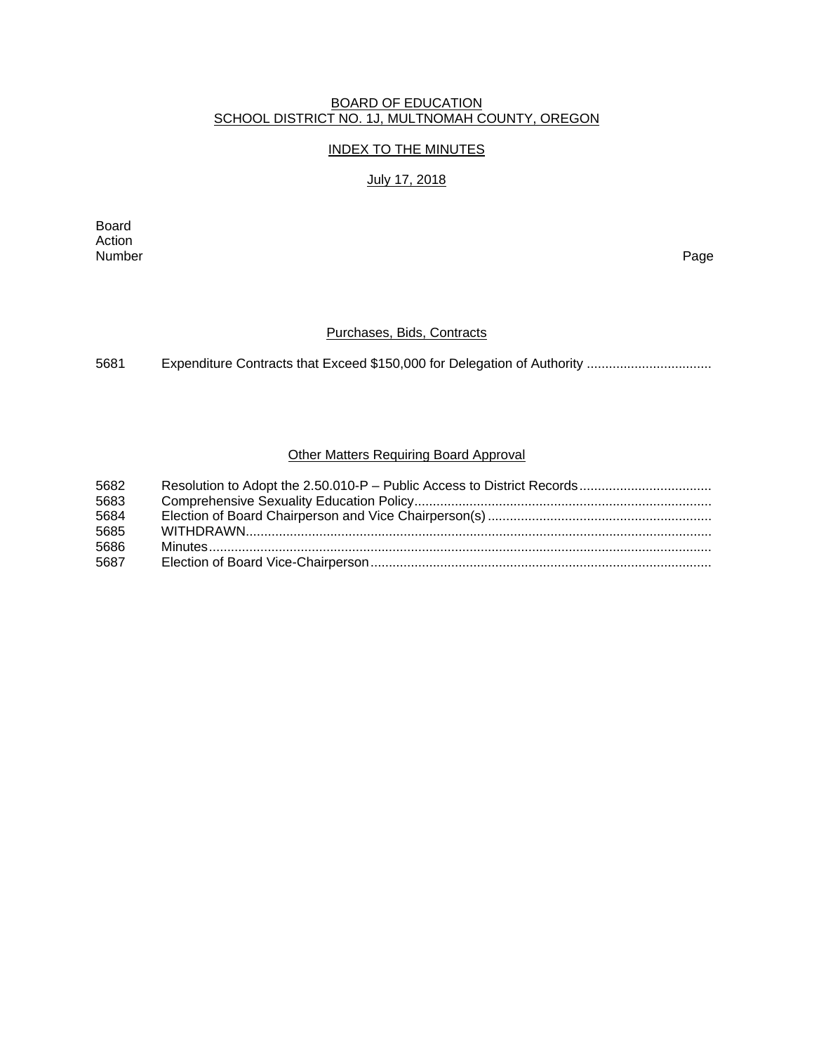#### BOARD OF EDUCATION SCHOOL DISTRICT NO. 1J, MULTNOMAH COUNTY, OREGON

# INDEX TO THE MINUTES

### July 17, 2018

Board Action Number Page

# Purchases, Bids, Contracts

5681 Expenditure Contracts that Exceed \$150,000 for Delegation of Authority .................................

# Other Matters Requiring Board Approval

| 5682 |  |
|------|--|
| 5683 |  |
| 5684 |  |
| 5685 |  |
| 5686 |  |
| 5687 |  |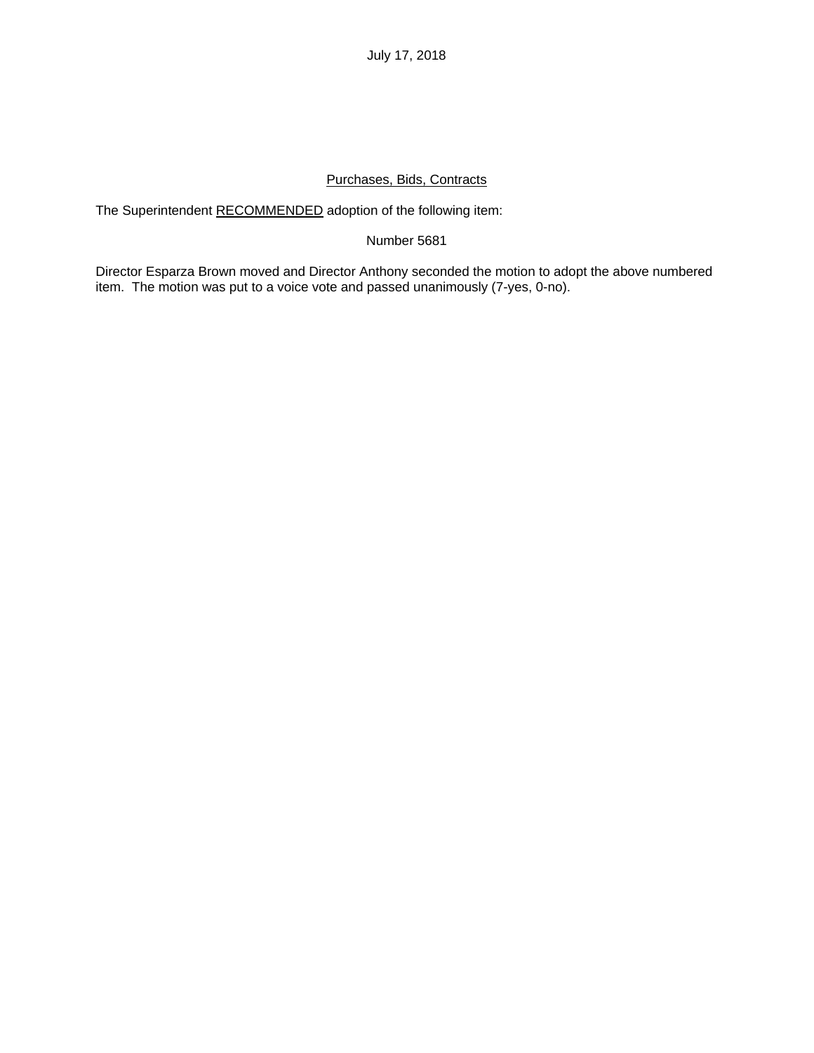July 17, 2018

## Purchases, Bids, Contracts

The Superintendent RECOMMENDED adoption of the following item:

## Number 5681

Director Esparza Brown moved and Director Anthony seconded the motion to adopt the above numbered item. The motion was put to a voice vote and passed unanimously (7-yes, 0-no).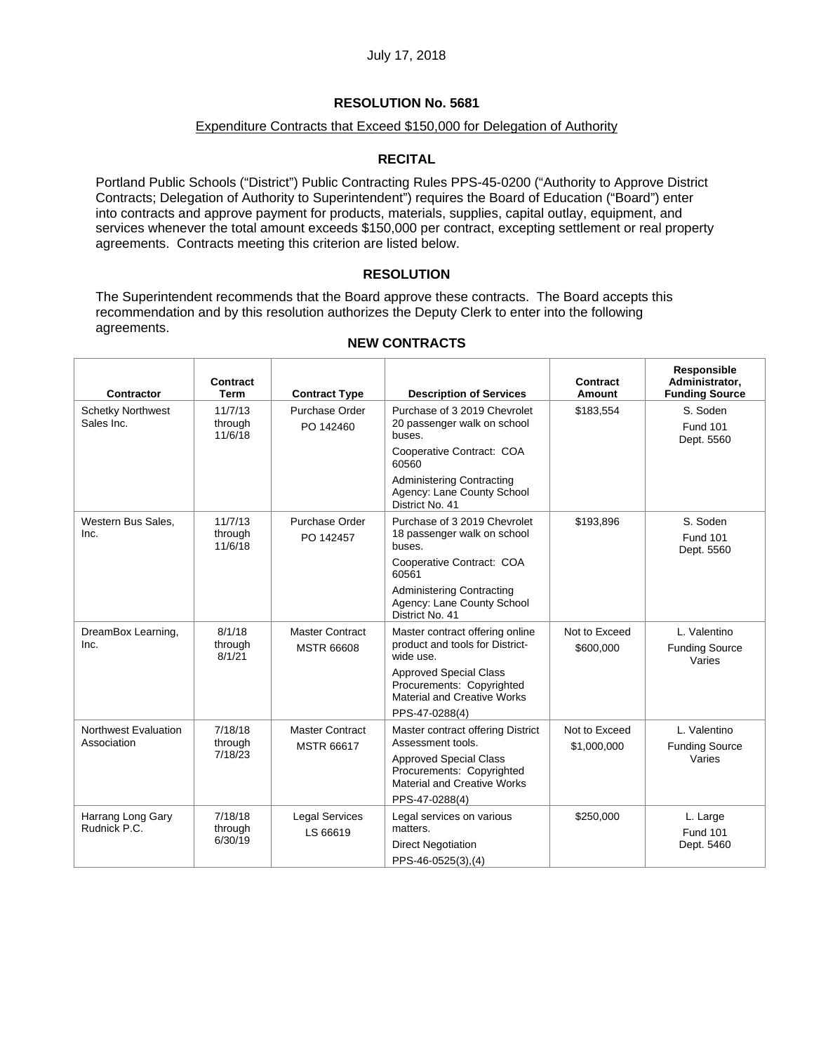### Expenditure Contracts that Exceed \$150,000 for Delegation of Authority

#### **RECITAL**

Portland Public Schools ("District") Public Contracting Rules PPS-45-0200 ("Authority to Approve District Contracts; Delegation of Authority to Superintendent") requires the Board of Education ("Board") enter into contracts and approve payment for products, materials, supplies, capital outlay, equipment, and services whenever the total amount exceeds \$150,000 per contract, excepting settlement or real property agreements. Contracts meeting this criterion are listed below.

#### **RESOLUTION**

The Superintendent recommends that the Board approve these contracts. The Board accepts this recommendation and by this resolution authorizes the Deputy Clerk to enter into the following agreements.

| Contractor                             | Contract<br>Term              | <b>Contract Type</b>              | <b>Description of Services</b>                                                                                        | Contract<br>Amount | Responsible<br>Administrator,<br><b>Funding Source</b> |
|----------------------------------------|-------------------------------|-----------------------------------|-----------------------------------------------------------------------------------------------------------------------|--------------------|--------------------------------------------------------|
| <b>Schetky Northwest</b><br>Sales Inc. | 11/7/13<br>through<br>11/6/18 | Purchase Order<br>PO 142460       | Purchase of 3 2019 Chevrolet<br>20 passenger walk on school<br>buses.                                                 | \$183,554          | S. Soden<br><b>Fund 101</b><br>Dept. 5560              |
|                                        |                               |                                   | Cooperative Contract: COA<br>60560                                                                                    |                    |                                                        |
|                                        |                               |                                   | <b>Administering Contracting</b><br>Agency: Lane County School<br>District No. 41                                     |                    |                                                        |
| Western Bus Sales,<br>Inc.             | 11/7/13<br>through<br>11/6/18 | Purchase Order<br>PO 142457       | Purchase of 3 2019 Chevrolet<br>18 passenger walk on school<br>buses.                                                 | \$193,896          | S. Soden<br><b>Fund 101</b><br>Dept. 5560              |
|                                        |                               |                                   | Cooperative Contract: COA<br>60561                                                                                    |                    |                                                        |
|                                        |                               |                                   | <b>Administering Contracting</b><br>Agency: Lane County School<br>District No. 41                                     |                    |                                                        |
| DreamBox Learning,<br>Inc.             | 8/1/18<br>through             | <b>Master Contract</b>            | Master contract offering online<br>product and tools for District-                                                    | Not to Exceed      | L. Valentino                                           |
|                                        | 8/1/21                        | <b>MSTR 66608</b>                 | wide use.                                                                                                             | \$600,000          | <b>Funding Source</b><br>Varies                        |
|                                        |                               |                                   | <b>Approved Special Class</b><br>Procurements: Copyrighted<br><b>Material and Creative Works</b><br>PPS-47-0288(4)    |                    |                                                        |
| Northwest Evaluation                   | 7/18/18                       | <b>Master Contract</b>            | Master contract offering District                                                                                     | Not to Exceed      | L. Valentino                                           |
| Association                            | through<br>7/18/23            | <b>MSTR 66617</b>                 | Assessment tools.<br><b>Approved Special Class</b><br>Procurements: Copyrighted<br><b>Material and Creative Works</b> | \$1,000,000        | <b>Funding Source</b><br>Varies                        |
|                                        |                               |                                   | PPS-47-0288(4)                                                                                                        |                    |                                                        |
| Harrang Long Gary<br>Rudnick P.C.      | 7/18/18<br>through            | <b>Legal Services</b><br>LS 66619 | Legal services on various<br>matters.                                                                                 | \$250,000          | L. Large<br><b>Fund 101</b>                            |
|                                        | 6/30/19                       |                                   | <b>Direct Negotiation</b>                                                                                             |                    | Dept. 5460                                             |
|                                        |                               |                                   | PPS-46-0525(3),(4)                                                                                                    |                    |                                                        |

### **NEW CONTRACTS**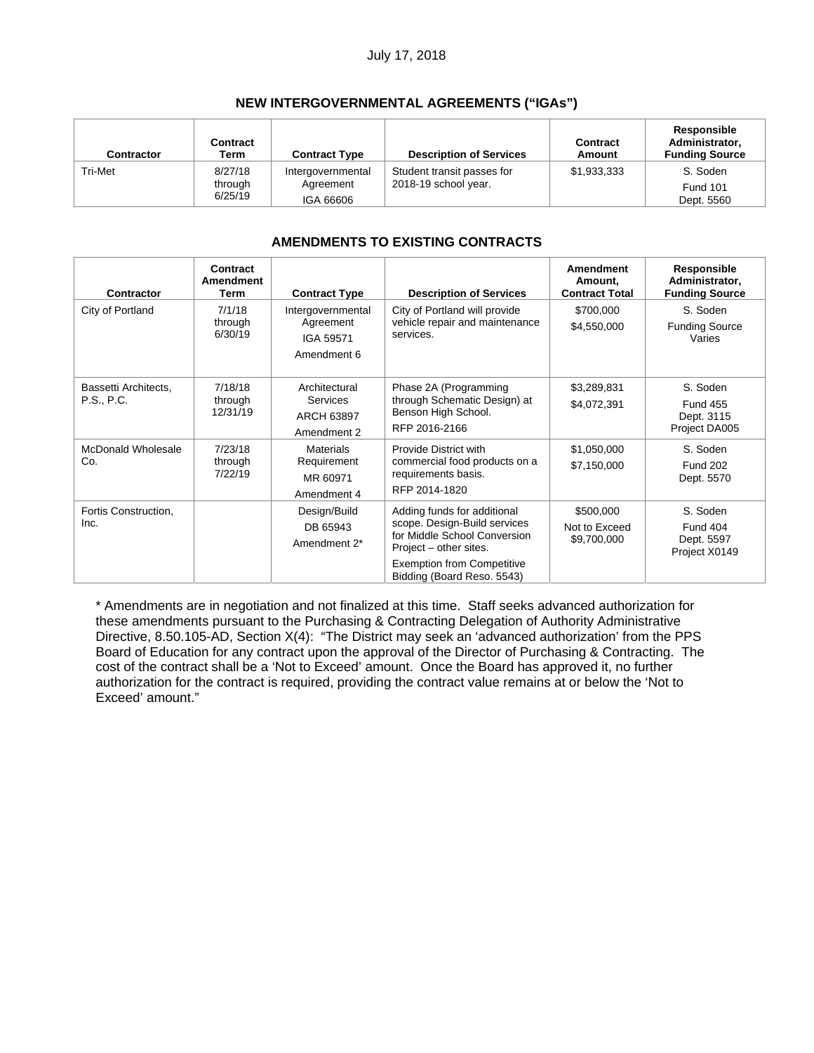## July 17, 2018

# **NEW INTERGOVERNMENTAL AGREEMENTS ("IGAs")**

| <b>Contractor</b> | <b>Contract</b><br>Term | <b>Contract Type</b> | <b>Description of Services</b> | Contract<br>Amount | Responsible<br>Administrator,<br><b>Funding Source</b> |
|-------------------|-------------------------|----------------------|--------------------------------|--------------------|--------------------------------------------------------|
| Tri-Met           | 8/27/18                 | Intergovernmental    | Student transit passes for     | \$1,933,333        | S. Soden                                               |
|                   | through                 | Agreement            | 2018-19 school year.           |                    | <b>Fund 101</b>                                        |
|                   | 6/25/19                 | IGA 66606            |                                |                    | Dept. 5560                                             |

# **AMENDMENTS TO EXISTING CONTRACTS**

| Contractor                         | Contract<br>Amendment<br>Term  | <b>Contract Type</b>                                       | <b>Description of Services</b>                                                                                                                                                           | <b>Amendment</b><br>Amount,<br><b>Contract Total</b> | Responsible<br>Administrator,<br><b>Funding Source</b>     |
|------------------------------------|--------------------------------|------------------------------------------------------------|------------------------------------------------------------------------------------------------------------------------------------------------------------------------------------------|------------------------------------------------------|------------------------------------------------------------|
| City of Portland                   | 7/1/18<br>through<br>6/30/19   | Intergovernmental<br>Agreement<br>IGA 59571<br>Amendment 6 | City of Portland will provide<br>vehicle repair and maintenance<br>services.                                                                                                             | \$700,000<br>\$4,550,000                             | S. Soden<br><b>Funding Source</b><br>Varies                |
| Bassetti Architects,<br>P.S., P.C. | 7/18/18<br>through<br>12/31/19 | Architectural<br>Services<br>ARCH 63897<br>Amendment 2     | Phase 2A (Programming<br>through Schematic Design) at<br>Benson High School.<br>RFP 2016-2166                                                                                            | \$3,289,831<br>\$4,072,391                           | S. Soden<br><b>Fund 455</b><br>Dept. 3115<br>Project DA005 |
| McDonald Wholesale<br>Co.          | 7/23/18<br>through<br>7/22/19  | <b>Materials</b><br>Requirement<br>MR 60971<br>Amendment 4 | Provide District with<br>commercial food products on a<br>requirements basis.<br>RFP 2014-1820                                                                                           | \$1,050,000<br>\$7,150,000                           | S. Soden<br><b>Fund 202</b><br>Dept. 5570                  |
| Fortis Construction,<br>Inc.       |                                | Design/Build<br>DB 65943<br>Amendment 2*                   | Adding funds for additional<br>scope. Design-Build services<br>for Middle School Conversion<br>Project – other sites.<br><b>Exemption from Competitive</b><br>Bidding (Board Reso. 5543) | \$500,000<br>Not to Exceed<br>\$9,700,000            | S. Soden<br><b>Fund 404</b><br>Dept. 5597<br>Project X0149 |

\* Amendments are in negotiation and not finalized at this time. Staff seeks advanced authorization for these amendments pursuant to the Purchasing & Contracting Delegation of Authority Administrative Directive, 8.50.105-AD, Section X(4): "The District may seek an 'advanced authorization' from the PPS Board of Education for any contract upon the approval of the Director of Purchasing & Contracting. The cost of the contract shall be a 'Not to Exceed' amount. Once the Board has approved it, no further authorization for the contract is required, providing the contract value remains at or below the 'Not to Exceed' amount."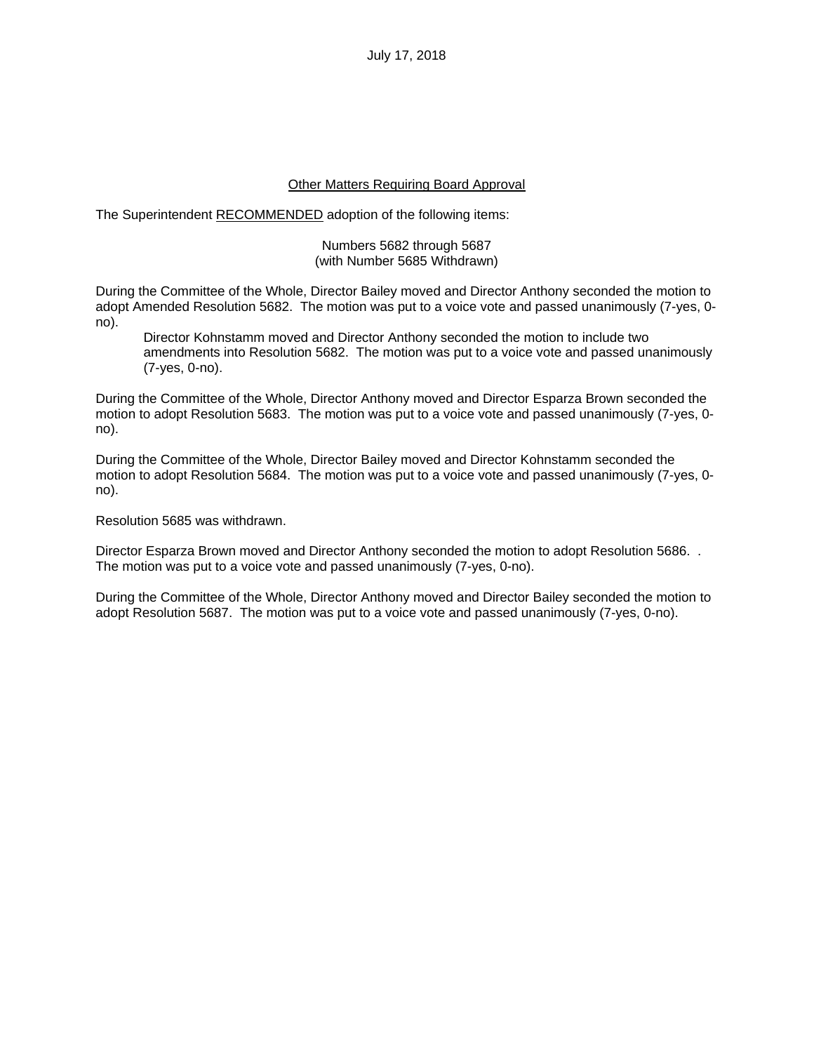July 17, 2018

#### Other Matters Requiring Board Approval

The Superintendent RECOMMENDED adoption of the following items:

#### Numbers 5682 through 5687 (with Number 5685 Withdrawn)

During the Committee of the Whole, Director Bailey moved and Director Anthony seconded the motion to adopt Amended Resolution 5682. The motion was put to a voice vote and passed unanimously (7-yes, 0 no).

Director Kohnstamm moved and Director Anthony seconded the motion to include two amendments into Resolution 5682. The motion was put to a voice vote and passed unanimously (7-yes, 0-no).

During the Committee of the Whole, Director Anthony moved and Director Esparza Brown seconded the motion to adopt Resolution 5683. The motion was put to a voice vote and passed unanimously (7-yes, 0 no).

During the Committee of the Whole, Director Bailey moved and Director Kohnstamm seconded the motion to adopt Resolution 5684. The motion was put to a voice vote and passed unanimously (7-yes, 0 no).

Resolution 5685 was withdrawn.

Director Esparza Brown moved and Director Anthony seconded the motion to adopt Resolution 5686. . The motion was put to a voice vote and passed unanimously (7-yes, 0-no).

During the Committee of the Whole, Director Anthony moved and Director Bailey seconded the motion to adopt Resolution 5687. The motion was put to a voice vote and passed unanimously (7-yes, 0-no).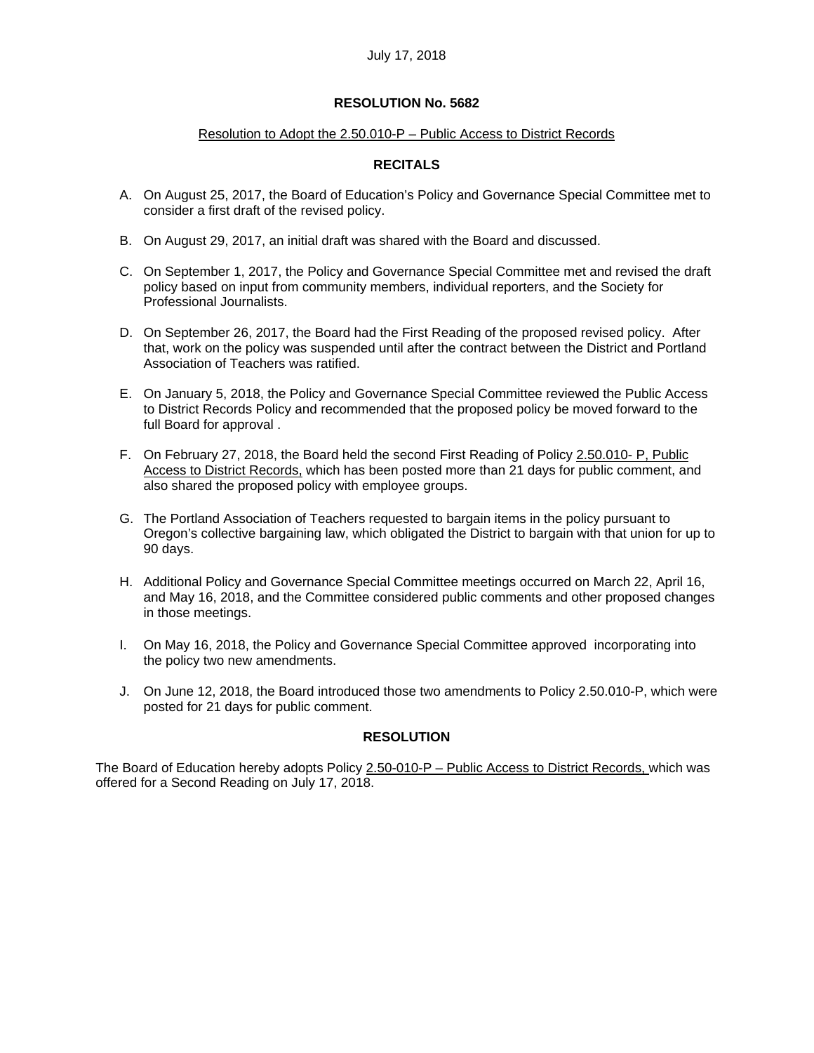#### Resolution to Adopt the 2.50.010-P – Public Access to District Records

## **RECITALS**

- A. On August 25, 2017, the Board of Education's Policy and Governance Special Committee met to consider a first draft of the revised policy.
- B. On August 29, 2017, an initial draft was shared with the Board and discussed.
- C. On September 1, 2017, the Policy and Governance Special Committee met and revised the draft policy based on input from community members, individual reporters, and the Society for Professional Journalists.
- D. On September 26, 2017, the Board had the First Reading of the proposed revised policy. After that, work on the policy was suspended until after the contract between the District and Portland Association of Teachers was ratified.
- E. On January 5, 2018, the Policy and Governance Special Committee reviewed the Public Access to District Records Policy and recommended that the proposed policy be moved forward to the full Board for approval .
- F. On February 27, 2018, the Board held the second First Reading of Policy 2.50.010- P, Public Access to District Records, which has been posted more than 21 days for public comment, and also shared the proposed policy with employee groups.
- G. The Portland Association of Teachers requested to bargain items in the policy pursuant to Oregon's collective bargaining law, which obligated the District to bargain with that union for up to 90 days.
- H. Additional Policy and Governance Special Committee meetings occurred on March 22, April 16, and May 16, 2018, and the Committee considered public comments and other proposed changes in those meetings.
- I. On May 16, 2018, the Policy and Governance Special Committee approved incorporating into the policy two new amendments.
- J. On June 12, 2018, the Board introduced those two amendments to Policy 2.50.010-P, which were posted for 21 days for public comment.

#### **RESOLUTION**

The Board of Education hereby adopts Policy 2.50-010-P – Public Access to District Records, which was offered for a Second Reading on July 17, 2018.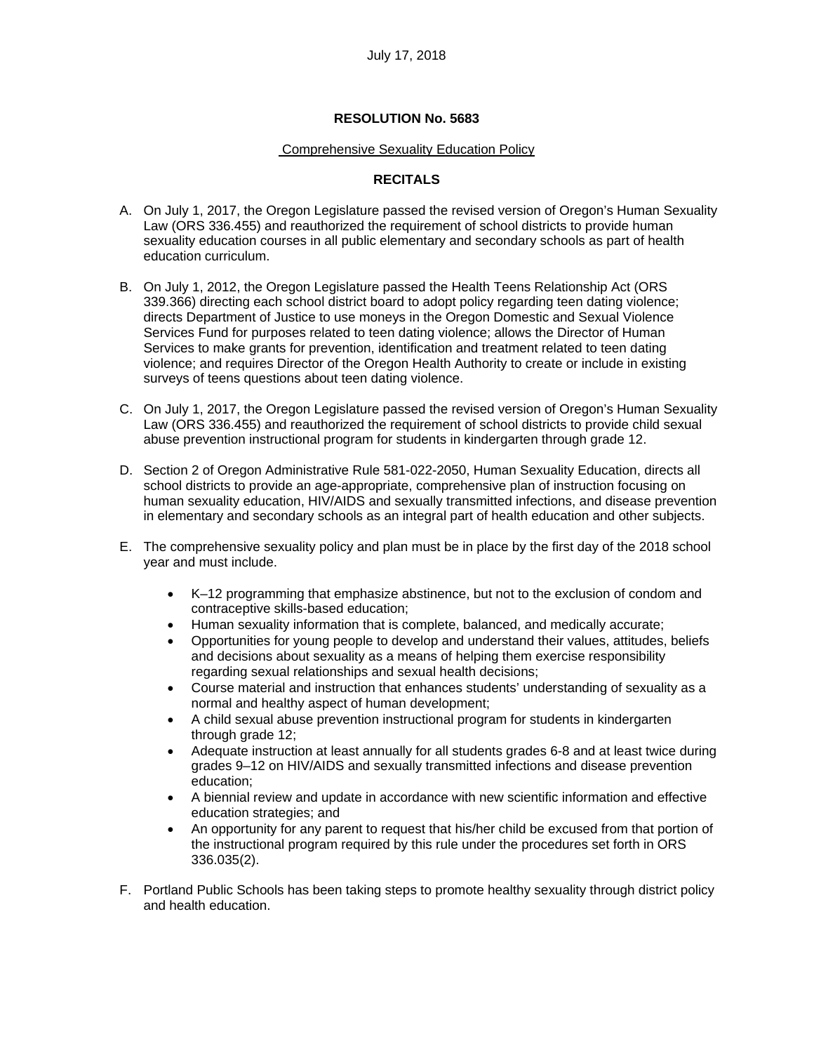#### Comprehensive Sexuality Education Policy

# **RECITALS**

- A. On July 1, 2017, the Oregon Legislature passed the revised version of Oregon's Human Sexuality Law (ORS 336.455) and reauthorized the requirement of school districts to provide human sexuality education courses in all public elementary and secondary schools as part of health education curriculum.
- B. On July 1, 2012, the Oregon Legislature passed the Health Teens Relationship Act (ORS 339.366) directing each school district board to adopt policy regarding teen dating violence; directs Department of Justice to use moneys in the Oregon Domestic and Sexual Violence Services Fund for purposes related to teen dating violence; allows the Director of Human Services to make grants for prevention, identification and treatment related to teen dating violence; and requires Director of the Oregon Health Authority to create or include in existing surveys of teens questions about teen dating violence.
- C. On July 1, 2017, the Oregon Legislature passed the revised version of Oregon's Human Sexuality Law (ORS 336.455) and reauthorized the requirement of school districts to provide child sexual abuse prevention instructional program for students in kindergarten through grade 12.
- D. Section 2 of Oregon Administrative Rule 581-022-2050, Human Sexuality Education, directs all school districts to provide an age-appropriate, comprehensive plan of instruction focusing on human sexuality education, HIV/AIDS and sexually transmitted infections, and disease prevention in elementary and secondary schools as an integral part of health education and other subjects.
- E. The comprehensive sexuality policy and plan must be in place by the first day of the 2018 school year and must include.
	- K–12 programming that emphasize abstinence, but not to the exclusion of condom and contraceptive skills-based education;
	- Human sexuality information that is complete, balanced, and medically accurate;
	- Opportunities for young people to develop and understand their values, attitudes, beliefs and decisions about sexuality as a means of helping them exercise responsibility regarding sexual relationships and sexual health decisions;
	- Course material and instruction that enhances students' understanding of sexuality as a normal and healthy aspect of human development;
	- A child sexual abuse prevention instructional program for students in kindergarten through grade 12;
	- Adequate instruction at least annually for all students grades 6-8 and at least twice during grades 9–12 on HIV/AIDS and sexually transmitted infections and disease prevention education;
	- A biennial review and update in accordance with new scientific information and effective education strategies; and
	- An opportunity for any parent to request that his/her child be excused from that portion of the instructional program required by this rule under the procedures set forth in ORS 336.035(2).
- F. Portland Public Schools has been taking steps to promote healthy sexuality through district policy and health education.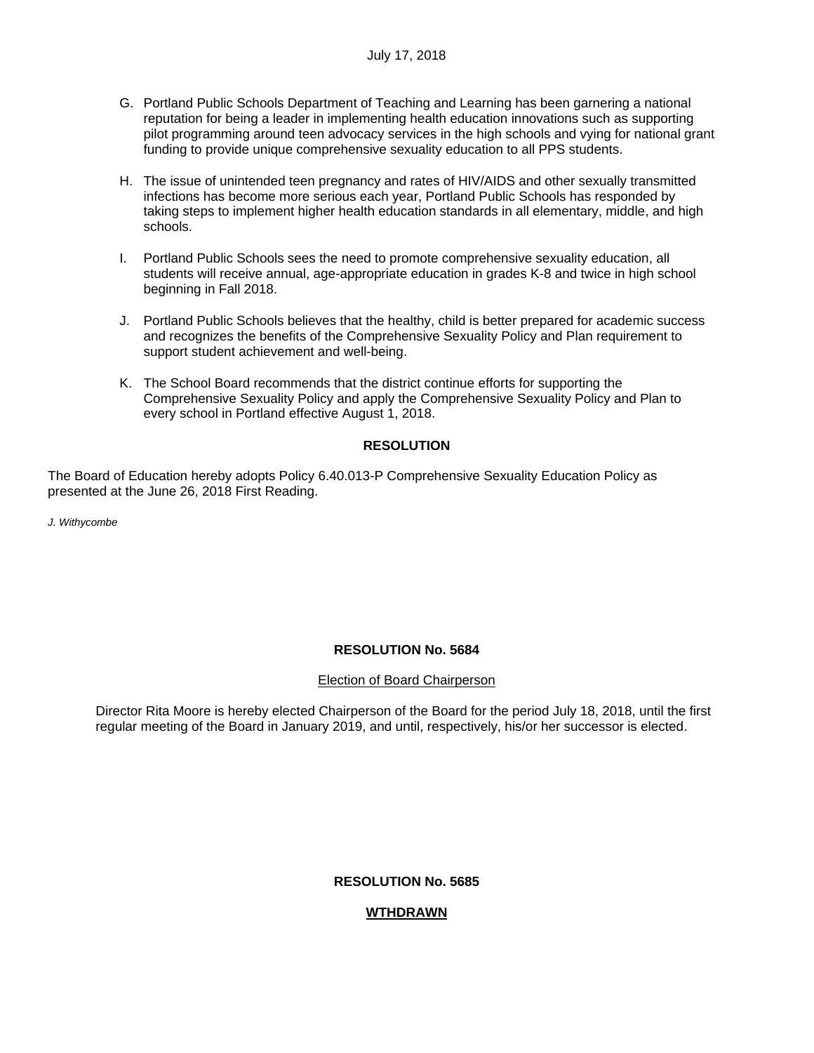- G. Portland Public Schools Department of Teaching and Learning has been garnering a national reputation for being a leader in implementing health education innovations such as supporting pilot programming around teen advocacy services in the high schools and vying for national grant funding to provide unique comprehensive sexuality education to all PPS students.
- H. The issue of unintended teen pregnancy and rates of HIV/AIDS and other sexually transmitted infections has become more serious each year, Portland Public Schools has responded by taking steps to implement higher health education standards in all elementary, middle, and high schools.
- I. Portland Public Schools sees the need to promote comprehensive sexuality education, all students will receive annual, age-appropriate education in grades K-8 and twice in high school beginning in Fall 2018.
- J. Portland Public Schools believes that the healthy, child is better prepared for academic success and recognizes the benefits of the Comprehensive Sexuality Policy and Plan requirement to support student achievement and well-being.
- K. The School Board recommends that the district continue efforts for supporting the Comprehensive Sexuality Policy and apply the Comprehensive Sexuality Policy and Plan to every school in Portland effective August 1, 2018.

# **RESOLUTION**

The Board of Education hereby adopts Policy 6.40.013-P Comprehensive Sexuality Education Policy as presented at the June 26, 2018 First Reading.

*J. Withycombe*

# **RESOLUTION No. 5684**

# Election of Board Chairperson

Director Rita Moore is hereby elected Chairperson of the Board for the period July 18, 2018, until the first regular meeting of the Board in January 2019, and until, respectively, his/or her successor is elected.

# **RESOLUTION No. 5685**

# **WTHDRAWN**